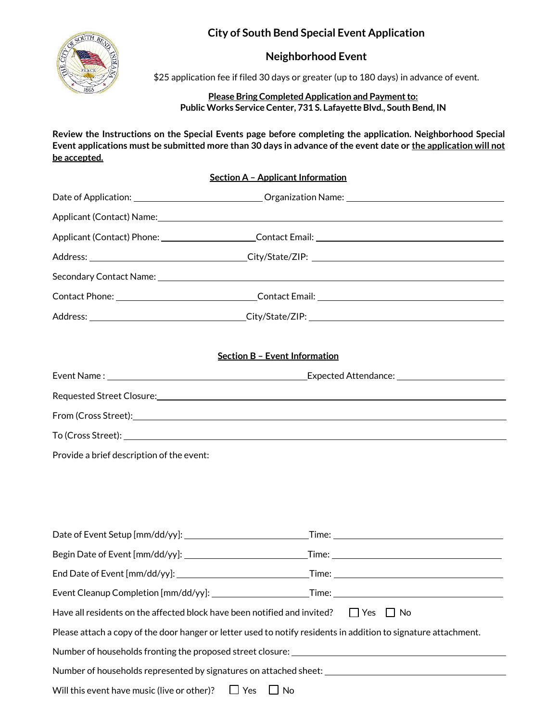# **City of South Bend Special Event Application**



## **Neighborhood Event**

\$25 application fee if filed 30 days or greater (up to 180 days) in advance of event.

## **Please Bring Completed Application and Payment to: Public Works Service Center, 731 S. Lafayette Blvd., South Bend, IN**

**Review the Instructions on the Special Events page before completing the application. Neighborhood Special Event applications must be submitted more than 30 days in advance of the event date or the application will not be accepted.**

## **Section A – Applicant Information**

|                                                                                                                 | Secondary Contact Name: 2008 2009 2009 2010 2020 2031 2040 2050 2061 2071 2082 2093 2094 2095 2096 20                                                                                                                          |  |  |  |  |
|-----------------------------------------------------------------------------------------------------------------|--------------------------------------------------------------------------------------------------------------------------------------------------------------------------------------------------------------------------------|--|--|--|--|
|                                                                                                                 |                                                                                                                                                                                                                                |  |  |  |  |
|                                                                                                                 |                                                                                                                                                                                                                                |  |  |  |  |
|                                                                                                                 | <b>Section B - Event Information</b>                                                                                                                                                                                           |  |  |  |  |
|                                                                                                                 |                                                                                                                                                                                                                                |  |  |  |  |
|                                                                                                                 | Requested Street Closure: Note that the set of the set of the set of the set of the set of the set of the set of the set of the set of the set of the set of the set of the set of the set of the set of the set of the set of |  |  |  |  |
|                                                                                                                 |                                                                                                                                                                                                                                |  |  |  |  |
|                                                                                                                 |                                                                                                                                                                                                                                |  |  |  |  |
| Provide a brief description of the event:                                                                       |                                                                                                                                                                                                                                |  |  |  |  |
|                                                                                                                 |                                                                                                                                                                                                                                |  |  |  |  |
|                                                                                                                 |                                                                                                                                                                                                                                |  |  |  |  |
|                                                                                                                 |                                                                                                                                                                                                                                |  |  |  |  |
|                                                                                                                 |                                                                                                                                                                                                                                |  |  |  |  |
|                                                                                                                 |                                                                                                                                                                                                                                |  |  |  |  |
|                                                                                                                 |                                                                                                                                                                                                                                |  |  |  |  |
| Event Cleanup Completion [mm/dd/yy]:                                                                            | _Time: $\_$                                                                                                                                                                                                                    |  |  |  |  |
| Have all residents on the affected block have been notified and invited?<br>Yes<br>l No                         |                                                                                                                                                                                                                                |  |  |  |  |
| Please attach a copy of the door hanger or letter used to notify residents in addition to signature attachment. |                                                                                                                                                                                                                                |  |  |  |  |
|                                                                                                                 |                                                                                                                                                                                                                                |  |  |  |  |
| Number of households represented by signatures on attached sheet: __________________________________            |                                                                                                                                                                                                                                |  |  |  |  |
|                                                                                                                 |                                                                                                                                                                                                                                |  |  |  |  |

Will this event have music (live or other)?  $\Box$  Yes  $\Box$  No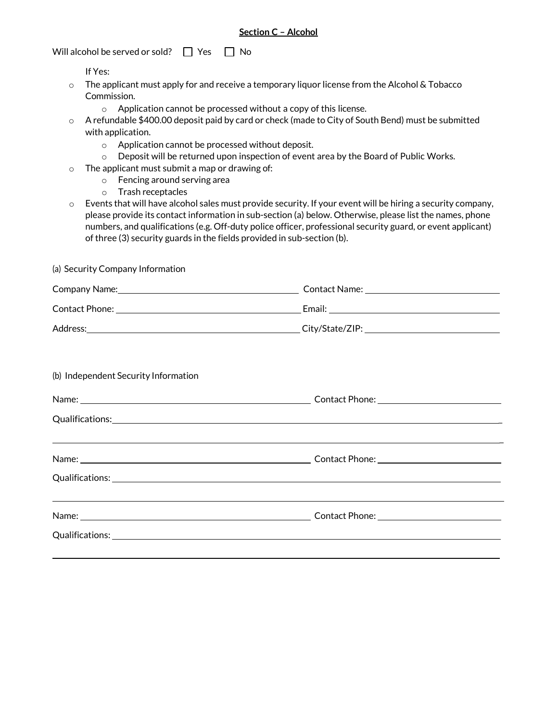#### **Section C – Alcohol**

Will alcohol be served or sold?  $\Box$  Yes  $\Box$  No

If Yes:

- $\circ$  The applicant must apply for and receive a temporary liquor license from the Alcohol & Tobacco Commission.
	- o Application cannot be processed without a copy of this license.
- o A refundable \$400.00 deposit paid by card or check (made to City of South Bend) must be submitted with application.
	- o Application cannot be processed without deposit.
	- $\circ$  Deposit will be returned upon inspection of event area by the Board of Public Works.
- $\circ$  The applicant must submit a map or drawing of:
	- o Fencing around serving area
	- o Trash receptacles
- $\circ$  Events that will have alcohol sales must provide security. If your event will be hiring a security company, please provide its contact information in sub-section (a) below. Otherwise, please list the names, phone numbers, and qualifications (e.g. Off-duty police officer, professional security guard, or event applicant) of three (3) security guards in the fields provided in sub-section (b).

(a) Security Company Information

| (b) Independent Security Information |                                                                                                                      |  |  |
|--------------------------------------|----------------------------------------------------------------------------------------------------------------------|--|--|
|                                      |                                                                                                                      |  |  |
|                                      |                                                                                                                      |  |  |
|                                      | <u> 1989 - Andrea Santa Andrea Santa Andrea Santa Andrea Santa Andrea Santa Andrea Santa Andrea Santa Andrea San</u> |  |  |
|                                      |                                                                                                                      |  |  |
|                                      | <u> 1989 - Andrea Santa Andrea Andrea Andrea Andrea Andrea Andrea Andrea Andrea Andrea Andrea Andrea Andrea Andr</u> |  |  |
|                                      |                                                                                                                      |  |  |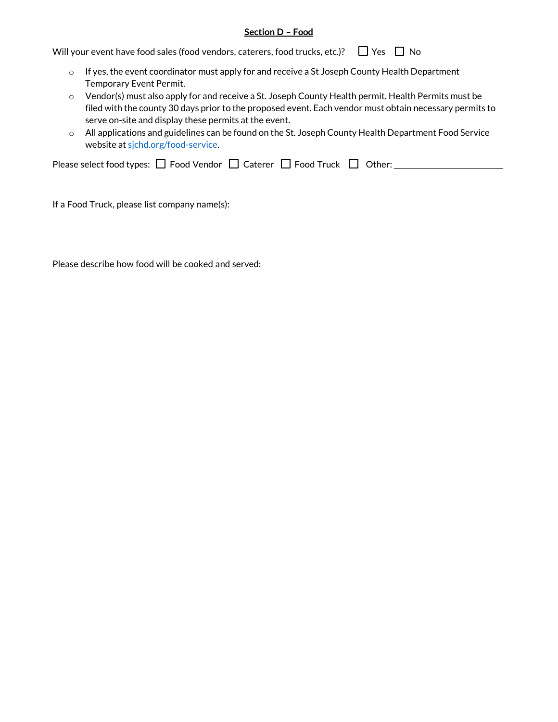## **Section D – Food**

Will your event have food sales (food vendors, caterers, food trucks, etc.)?  $\Box$  Yes  $\Box$  No

- $\circ$  If yes, the event coordinator must apply for and receive a St Joseph County Health Department Temporary Event Permit.
- $\circ$  Vendor(s) must also apply for and receive a St. Joseph County Health permit. Health Permits must be filed with the county 30 days prior to the proposed event. Each vendor must obtain necessary permits to serve on-site and display these permits at the event.
- o All applications and guidelines can be found on the St. Joseph County Health Department Food Service website at sichd.org/food-service.

| Please select food types: $\Box$ Food Vendor $\Box$ Caterer $\Box$ Food Truck $\Box$ Other: |  |  |  |  |  |
|---------------------------------------------------------------------------------------------|--|--|--|--|--|
|---------------------------------------------------------------------------------------------|--|--|--|--|--|

If a Food Truck, please list company name(s):

Please describe how food will be cooked and served: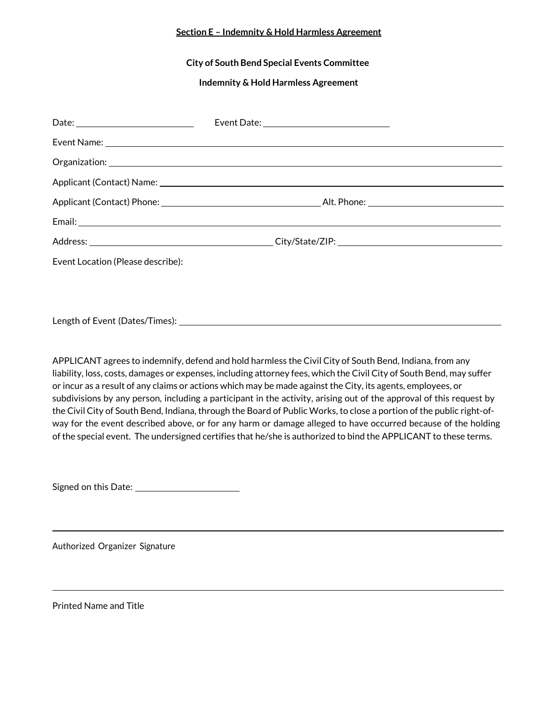## **Section E – Indemnity & Hold Harmless Agreement**

**City of South Bend Special Events Committee**

**Indemnity & Hold Harmless Agreement**

| Event Location (Please describe): |  |
|-----------------------------------|--|
|                                   |  |
|                                   |  |
|                                   |  |

APPLICANT agrees to indemnify, defend and hold harmless the Civil City of South Bend, Indiana, from any liability, loss, costs, damages or expenses, including attorney fees, which the Civil City of South Bend, may suffer or incur as a result of any claims or actions which may be made against the City, its agents, employees, or subdivisions by any person, including a participant in the activity, arising out of the approval of this request by the Civil City of South Bend, Indiana, through the Board of Public Works, to close a portion of the public right-ofway for the event described above, or for any harm or damage alleged to have occurred because of the holding of the special event. The undersigned certifies that he/she is authorized to bind the APPLICANT to these terms.

Signed on this Date:

Authorized Organizer Signature

Printed Name and Title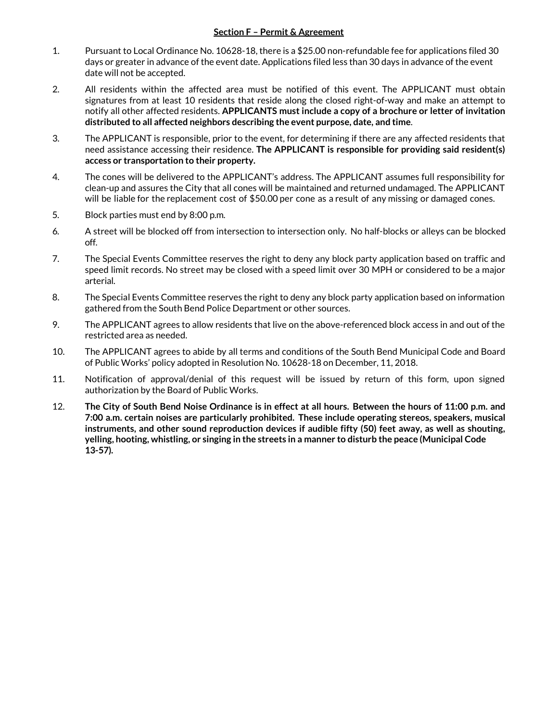## **Section F – Permit & Agreement**

- 1. Pursuant to Local Ordinance No. 10628-18, there is a \$25.00 non-refundable fee for applications filed 30 days or greater in advance of the event date. Applications filed less than 30 days in advance of the event date will not be accepted.
- 2. All residents within the affected area must be notified of this event. The APPLICANT must obtain signatures from at least 10 residents that reside along the closed right-of-way and make an attempt to notify all other affected residents. **APPLICANTS must include a copy of a brochure or letter of invitation distributed to all affected neighbors describing the event purpose, date, and time**.
- 3. The APPLICANT is responsible, prior to the event, for determining if there are any affected residents that need assistance accessing their residence. **The APPLICANT is responsible for providing said resident(s) access or transportation to their property.**
- 4. The cones will be delivered to the APPLICANT's address. The APPLICANT assumes full responsibility for clean-up and assures the City that all cones will be maintained and returned undamaged. The APPLICANT will be liable for the replacement cost of \$50.00 per cone as a result of any missing or damaged cones.
- 5. Block parties must end by 8:00 p.m.
- 6. A street will be blocked off from intersection to intersection only. No half-blocks or alleys can be blocked off.
- 7. The Special Events Committee reserves the right to deny any block party application based on traffic and speed limit records. No street may be closed with a speed limit over 30 MPH or considered to be a major arterial.
- 8. The Special Events Committee reserves the right to deny any block party application based on information gathered from the South Bend Police Department or other sources.
- 9. The APPLICANT agrees to allow residents that live on the above-referenced block access in and out of the restricted area as needed.
- 10. The APPLICANT agrees to abide by all terms and conditions of the South Bend Municipal Code and Board of Public Works' policy adopted in Resolution No. 10628-18 on December, 11, 2018.
- 11. Notification of approval/denial of this request will be issued by return of this form, upon signed authorization by the Board of Public Works.
- 12. **The City of South Bend Noise Ordinance is in effect at all hours. Between the hours of 11:00 p.m. and 7:00 a.m. certain noises are particularly prohibited. These include operating stereos, speakers, musical instruments, and other sound reproduction devices if audible fifty (50) feet away, as well as shouting, yelling, hooting, whistling, or singing in the streets in a manner to disturb the peace (Municipal Code 13-57).**